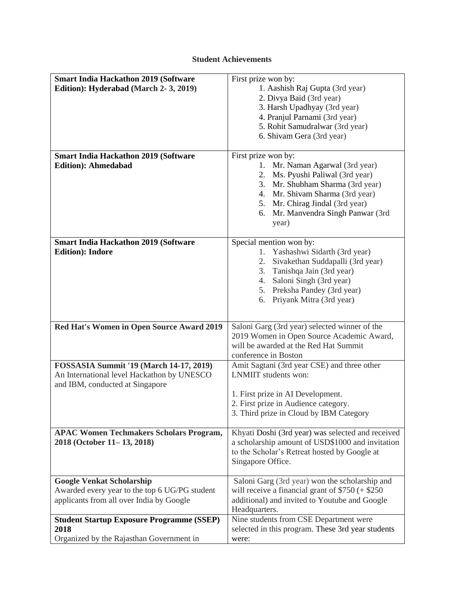## **Student Achievements**

| <b>Smart India Hackathon 2019 (Software</b>      | First prize won by:                                                                |
|--------------------------------------------------|------------------------------------------------------------------------------------|
| Edition): Hyderabad (March 2-3, 2019)            | 1. Aashish Raj Gupta (3rd year)                                                    |
|                                                  | 2. Divya Baid (3rd year)                                                           |
|                                                  | 3. Harsh Upadhyay (3rd year)                                                       |
|                                                  | 4. Pranjul Parnami (3rd year)                                                      |
|                                                  | 5. Rohit Samudralwar (3rd year)                                                    |
|                                                  | 6. Shivam Gera (3rd year)                                                          |
|                                                  |                                                                                    |
| <b>Smart India Hackathon 2019 (Software</b>      | First prize won by:                                                                |
| <b>Edition</b> ): Ahmedabad                      | Mr. Naman Agarwal (3rd year)<br>1.                                                 |
|                                                  | Ms. Pyushi Paliwal (3rd year)<br>2.                                                |
|                                                  | 3. Mr. Shubham Sharma (3rd year)                                                   |
|                                                  | 4. Mr. Shivam Sharma (3rd year)                                                    |
|                                                  | 5. Mr. Chirag Jindal (3rd year)                                                    |
|                                                  | Mr. Manvendra Singh Panwar (3rd<br>6.                                              |
|                                                  | year)                                                                              |
| <b>Smart India Hackathon 2019 (Software</b>      | Special mention won by:                                                            |
| <b>Edition</b> ): Indore                         | 1. Yashashwi Sidarth (3rd year)                                                    |
|                                                  | Sivakethan Suddapalli (3rd year)<br>2.                                             |
|                                                  | 3.<br>Tanishqa Jain (3rd year)                                                     |
|                                                  | Saloni Singh (3rd year)<br>4.                                                      |
|                                                  | 5. Preksha Pandey (3rd year)                                                       |
|                                                  | Priyank Mitra (3rd year)<br>6.                                                     |
|                                                  |                                                                                    |
|                                                  |                                                                                    |
| Red Hat's Women in Open Source Award 2019        | Saloni Garg (3rd year) selected winner of the                                      |
|                                                  | 2019 Women in Open Source Academic Award,<br>will be awarded at the Red Hat Summit |
|                                                  | conference in Boston                                                               |
| <b>FOSSASIA Summit '19 (March 14-17, 2019)</b>   | Amit Sagtani (3rd year CSE) and three other                                        |
| An International level Hackathon by UNESCO       | LNMIIT students won:                                                               |
| and IBM, conducted at Singapore                  |                                                                                    |
|                                                  | 1. First prize in AI Development.                                                  |
|                                                  | 2. First prize in Audience category.                                               |
|                                                  | 3. Third prize in Cloud by IBM Category                                            |
|                                                  |                                                                                    |
| <b>APAC Women Techmakers Scholars Program,</b>   | Khyati Doshi (3rd year) was selected and received                                  |
| 2018 (October 11-13, 2018)                       | a scholarship amount of USD\$1000 and invitation                                   |
|                                                  | to the Scholar's Retreat hosted by Google at                                       |
|                                                  | Singapore Office.                                                                  |
| <b>Google Venkat Scholarship</b>                 | Saloni Garg (3rd year) won the scholarship and                                     |
| Awarded every year to the top 6 UG/PG student    | will receive a financial grant of $$750 (+ $250$                                   |
| applicants from all over India by Google         | additional) and invited to Youtube and Google                                      |
|                                                  | Headquarters.                                                                      |
| <b>Student Startup Exposure Programme (SSEP)</b> | Nine students from CSE Department were                                             |
| 2018                                             | selected in this program. These 3rd year students                                  |
| Organized by the Rajasthan Government in         | were:                                                                              |